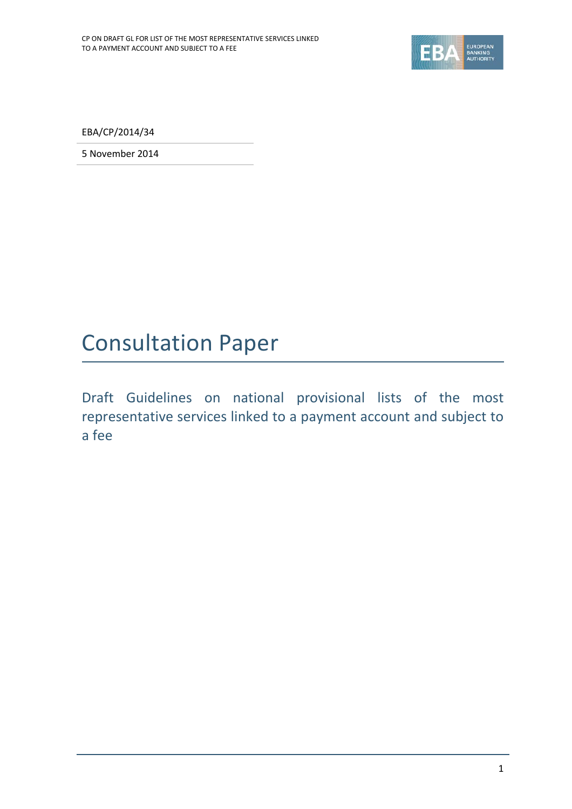

EBA/CP/2014/34

5 November 2014

## Consultation Paper

Draft Guidelines on national provisional lists of the most representative services linked to a payment account and subject to a fee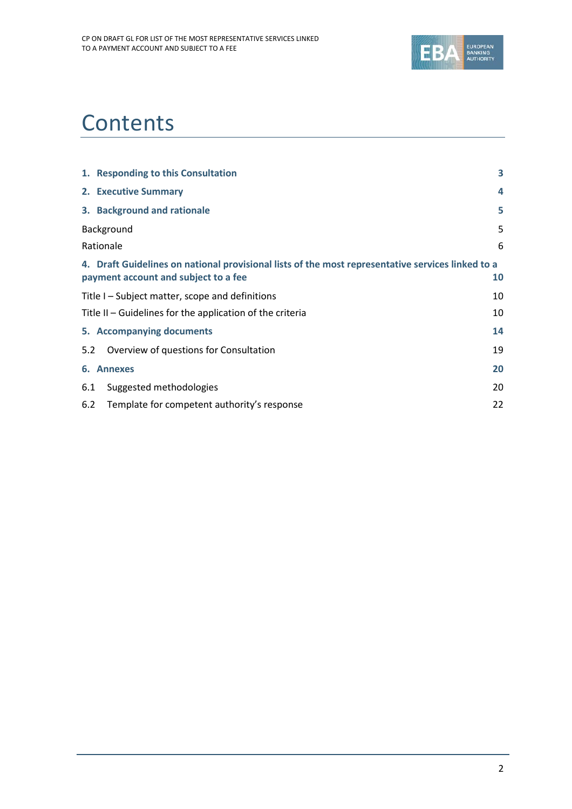

# **Contents**

|     | 1. Responding to this Consultation                                                                                                        | 3  |
|-----|-------------------------------------------------------------------------------------------------------------------------------------------|----|
|     | 2. Executive Summary                                                                                                                      | 4  |
|     | 3. Background and rationale                                                                                                               | 5  |
|     | Background                                                                                                                                | 5  |
|     | Rationale                                                                                                                                 | 6  |
|     | 4. Draft Guidelines on national provisional lists of the most representative services linked to a<br>payment account and subject to a fee | 10 |
|     | Title I – Subject matter, scope and definitions                                                                                           | 10 |
|     | Title II – Guidelines for the application of the criteria                                                                                 | 10 |
|     | 5. Accompanying documents                                                                                                                 | 14 |
| 5.2 | Overview of questions for Consultation                                                                                                    | 19 |
|     | 6. Annexes                                                                                                                                | 20 |
| 6.1 | Suggested methodologies                                                                                                                   | 20 |
| 6.2 | Template for competent authority's response                                                                                               | 22 |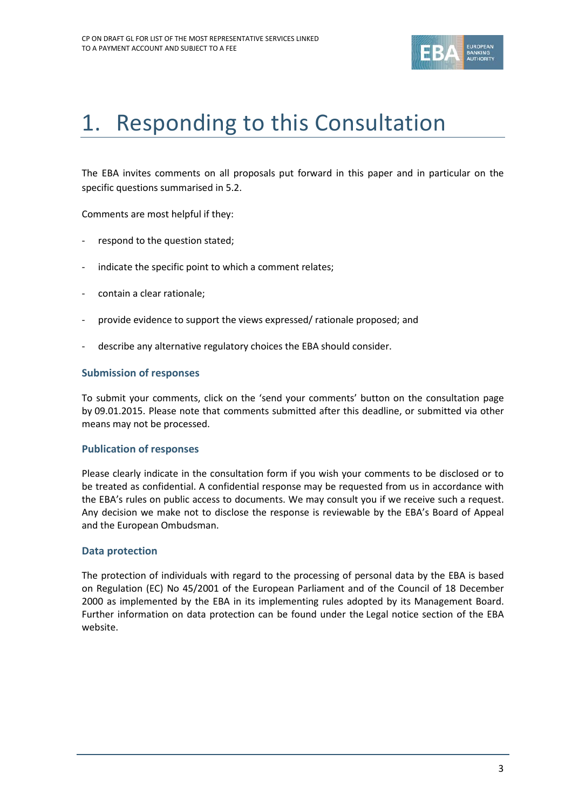

# 1. Responding to this Consultation

The EBA invites comments on all proposals put forward in this paper and in particular on the specific questions summarised in 5.2.

Comments are most helpful if they:

- respond to the question stated;
- indicate the specific point to which a comment relates;
- contain a clear rationale;
- provide evidence to support the views expressed/ rationale proposed; and
- describe any alternative regulatory choices the EBA should consider.

#### **Submission of responses**

To submit your comments, click on the 'send your comments' button on the consultation page by 09.01.2015. Please note that comments submitted after this deadline, or submitted via other means may not be processed.

#### **Publication of responses**

Please clearly indicate in the consultation form if you wish your comments to be disclosed or to be treated as confidential. A confidential response may be requested from us in accordance with the EBA's rules on public access to documents. We may consult you if we receive such a request. Any decision we make not to disclose the response is reviewable by the EBA's Board of Appeal and the European Ombudsman.

#### **Data protection**

The protection of individuals with regard to the processing of personal data by the EBA is based on Regulation (EC) No 45/2001 of the European Parliament and of the Council of 18 December 2000 as implemented by the EBA in its implementing rules adopted by its Management Board. Further information on data protection can be found under the [Legal notice section](http://eba.europa.eu/legal-notice) of the EBA website.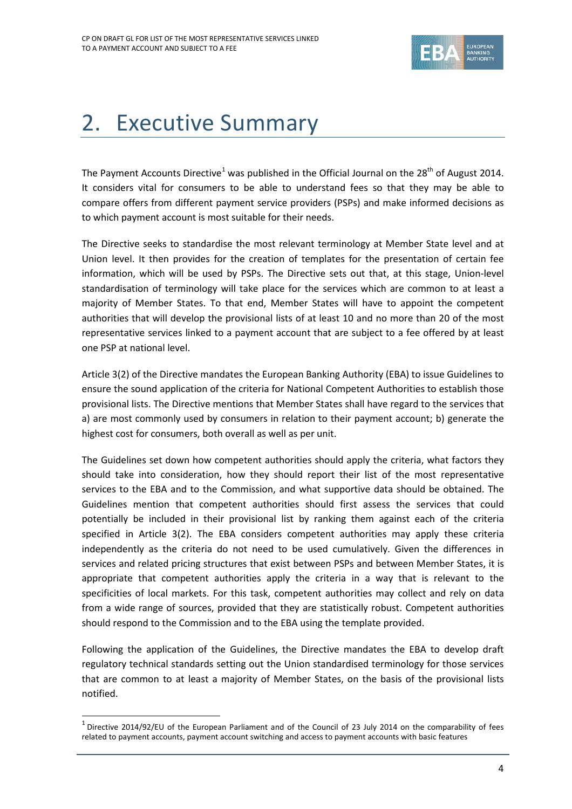

# 2. Executive Summary

The Payment Accounts Directive<sup>[1](#page-3-0)</sup> was published in the Official Journal on the 28<sup>th</sup> of August 2014. It considers vital for consumers to be able to understand fees so that they may be able to compare offers from different payment service providers (PSPs) and make informed decisions as to which payment account is most suitable for their needs.

The Directive seeks to standardise the most relevant terminology at Member State level and at Union level. It then provides for the creation of templates for the presentation of certain fee information, which will be used by PSPs. The Directive sets out that, at this stage, Union-level standardisation of terminology will take place for the services which are common to at least a majority of Member States. To that end, Member States will have to appoint the competent authorities that will develop the provisional lists of at least 10 and no more than 20 of the most representative services linked to a payment account that are subject to a fee offered by at least one PSP at national level.

Article 3(2) of the Directive mandates the European Banking Authority (EBA) to issue Guidelines to ensure the sound application of the criteria for National Competent Authorities to establish those provisional lists. The Directive mentions that Member States shall have regard to the services that a) are most commonly used by consumers in relation to their payment account; b) generate the highest cost for consumers, both overall as well as per unit.

The Guidelines set down how competent authorities should apply the criteria, what factors they should take into consideration, how they should report their list of the most representative services to the EBA and to the Commission, and what supportive data should be obtained. The Guidelines mention that competent authorities should first assess the services that could potentially be included in their provisional list by ranking them against each of the criteria specified in Article 3(2). The EBA considers competent authorities may apply these criteria independently as the criteria do not need to be used cumulatively. Given the differences in services and related pricing structures that exist between PSPs and between Member States, it is appropriate that competent authorities apply the criteria in a way that is relevant to the specificities of local markets. For this task, competent authorities may collect and rely on data from a wide range of sources, provided that they are statistically robust. Competent authorities should respond to the Commission and to the EBA using the template provided.

Following the application of the Guidelines, the Directive mandates the EBA to develop draft regulatory technical standards setting out the Union standardised terminology for those services that are common to at least a majority of Member States, on the basis of the provisional lists notified.

 $\overline{a}$ 

<span id="page-3-0"></span> $1$  Directive 2014/92/EU of the European Parliament and of the Council of 23 July 2014 on the comparability of fees related to payment accounts, payment account switching and access to payment accounts with basic features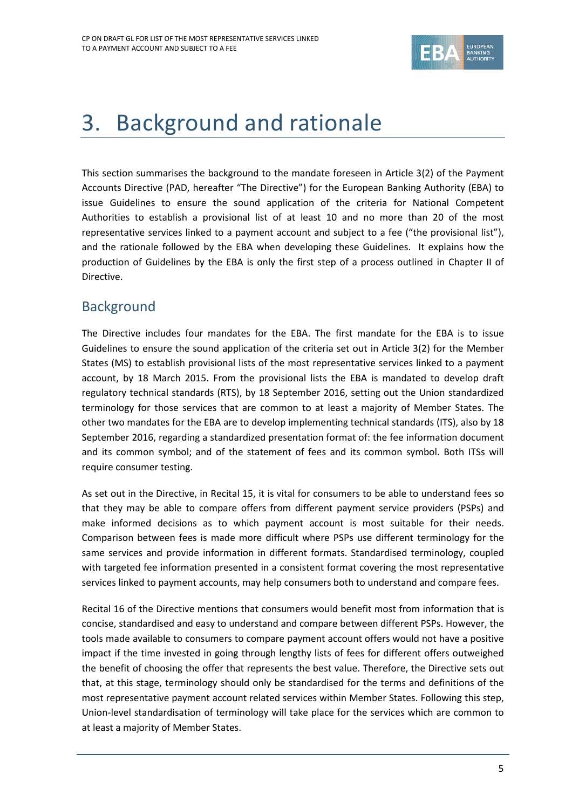

## 3. Background and rationale

This section summarises the background to the mandate foreseen in Article 3(2) of the Payment Accounts Directive (PAD, hereafter "The Directive") for the European Banking Authority (EBA) to issue Guidelines to ensure the sound application of the criteria for National Competent Authorities to establish a provisional list of at least 10 and no more than 20 of the most representative services linked to a payment account and subject to a fee ("the provisional list"), and the rationale followed by the EBA when developing these Guidelines. It explains how the production of Guidelines by the EBA is only the first step of a process outlined in Chapter II of Directive.

### **Background**

The Directive includes four mandates for the EBA. The first mandate for the EBA is to issue Guidelines to ensure the sound application of the criteria set out in Article 3(2) for the Member States (MS) to establish provisional lists of the most representative services linked to a payment account, by 18 March 2015. From the provisional lists the EBA is mandated to develop draft regulatory technical standards (RTS), by 18 September 2016, setting out the Union standardized terminology for those services that are common to at least a majority of Member States. The other two mandates for the EBA are to develop implementing technical standards (ITS), also by 18 September 2016, regarding a standardized presentation format of: the fee information document and its common symbol; and of the statement of fees and its common symbol. Both ITSs will require consumer testing.

As set out in the Directive, in Recital 15, it is vital for consumers to be able to understand fees so that they may be able to compare offers from different payment service providers (PSPs) and make informed decisions as to which payment account is most suitable for their needs. Comparison between fees is made more difficult where PSPs use different terminology for the same services and provide information in different formats. Standardised terminology, coupled with targeted fee information presented in a consistent format covering the most representative services linked to payment accounts, may help consumers both to understand and compare fees.

Recital 16 of the Directive mentions that consumers would benefit most from information that is concise, standardised and easy to understand and compare between different PSPs. However, the tools made available to consumers to compare payment account offers would not have a positive impact if the time invested in going through lengthy lists of fees for different offers outweighed the benefit of choosing the offer that represents the best value. Therefore, the Directive sets out that, at this stage, terminology should only be standardised for the terms and definitions of the most representative payment account related services within Member States. Following this step, Union-level standardisation of terminology will take place for the services which are common to at least a majority of Member States.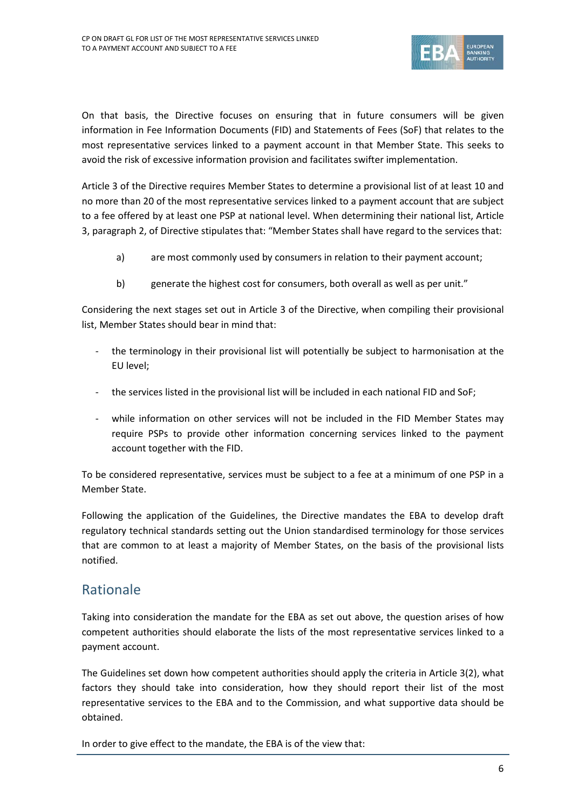

On that basis, the Directive focuses on ensuring that in future consumers will be given information in Fee Information Documents (FID) and Statements of Fees (SoF) that relates to the most representative services linked to a payment account in that Member State. This seeks to avoid the risk of excessive information provision and facilitates swifter implementation.

Article 3 of the Directive requires Member States to determine a provisional list of at least 10 and no more than 20 of the most representative services linked to a payment account that are subject to a fee offered by at least one PSP at national level. When determining their national list, Article 3, paragraph 2, of Directive stipulates that: "Member States shall have regard to the services that:

- a) are most commonly used by consumers in relation to their payment account;
- b) generate the highest cost for consumers, both overall as well as per unit."

Considering the next stages set out in Article 3 of the Directive, when compiling their provisional list, Member States should bear in mind that:

- the terminology in their provisional list will potentially be subject to harmonisation at the EU level;
- the services listed in the provisional list will be included in each national FID and SoF;
- while information on other services will not be included in the FID Member States may require PSPs to provide other information concerning services linked to the payment account together with the FID.

To be considered representative, services must be subject to a fee at a minimum of one PSP in a Member State.

Following the application of the Guidelines, the Directive mandates the EBA to develop draft regulatory technical standards setting out the Union standardised terminology for those services that are common to at least a majority of Member States, on the basis of the provisional lists notified.

### Rationale

Taking into consideration the mandate for the EBA as set out above, the question arises of how competent authorities should elaborate the lists of the most representative services linked to a payment account.

The Guidelines set down how competent authorities should apply the criteria in Article 3(2), what factors they should take into consideration, how they should report their list of the most representative services to the EBA and to the Commission, and what supportive data should be obtained.

In order to give effect to the mandate, the EBA is of the view that: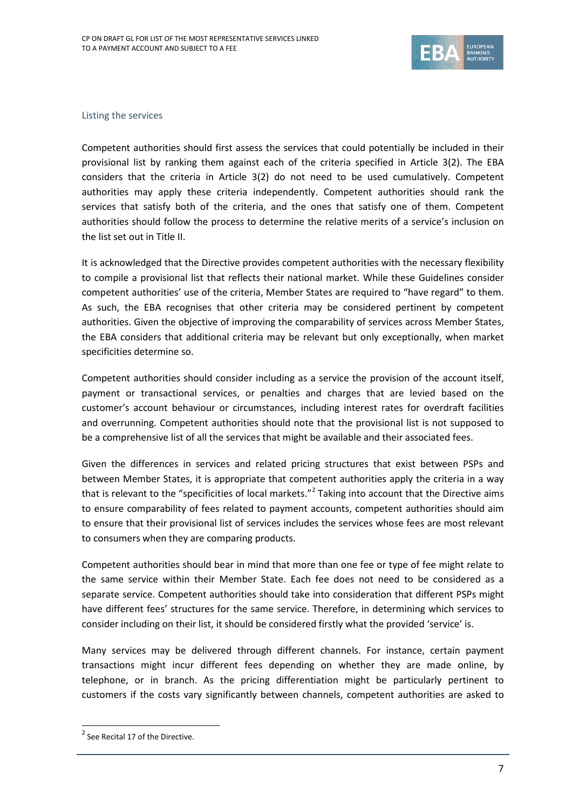

#### Listing the services

Competent authorities should first assess the services that could potentially be included in their provisional list by ranking them against each of the criteria specified in Article 3(2). The EBA considers that the criteria in Article 3(2) do not need to be used cumulatively. Competent authorities may apply these criteria independently. Competent authorities should rank the services that satisfy both of the criteria, and the ones that satisfy one of them. Competent authorities should follow the process to determine the relative merits of a service's inclusion on the list set out in Title II.

It is acknowledged that the Directive provides competent authorities with the necessary flexibility to compile a provisional list that reflects their national market. While these Guidelines consider competent authorities' use of the criteria, Member States are required to "have regard" to them. As such, the EBA recognises that other criteria may be considered pertinent by competent authorities. Given the objective of improving the comparability of services across Member States, the EBA considers that additional criteria may be relevant but only exceptionally, when market specificities determine so.

Competent authorities should consider including as a service the provision of the account itself, payment or transactional services, or penalties and charges that are levied based on the customer's account behaviour or circumstances, including interest rates for overdraft facilities and overrunning. Competent authorities should note that the provisional list is not supposed to be a comprehensive list of all the services that might be available and their associated fees.

Given the differences in services and related pricing structures that exist between PSPs and between Member States, it is appropriate that competent authorities apply the criteria in a way that is relevant to the "specificities of local markets."<sup>[2](#page-6-0)</sup> Taking into account that the Directive aims to ensure comparability of fees related to payment accounts, competent authorities should aim to ensure that their provisional list of services includes the services whose fees are most relevant to consumers when they are comparing products.

Competent authorities should bear in mind that more than one fee or type of fee might relate to the same service within their Member State. Each fee does not need to be considered as a separate service. Competent authorities should take into consideration that different PSPs might have different fees' structures for the same service. Therefore, in determining which services to consider including on their list, it should be considered firstly what the provided 'service' is.

Many services may be delivered through different channels. For instance, certain payment transactions might incur different fees depending on whether they are made online, by telephone, or in branch. As the pricing differentiation might be particularly pertinent to customers if the costs vary significantly between channels, competent authorities are asked to

 $\overline{a}$ 

<span id="page-6-0"></span><sup>&</sup>lt;sup>2</sup> See Recital 17 of the Directive.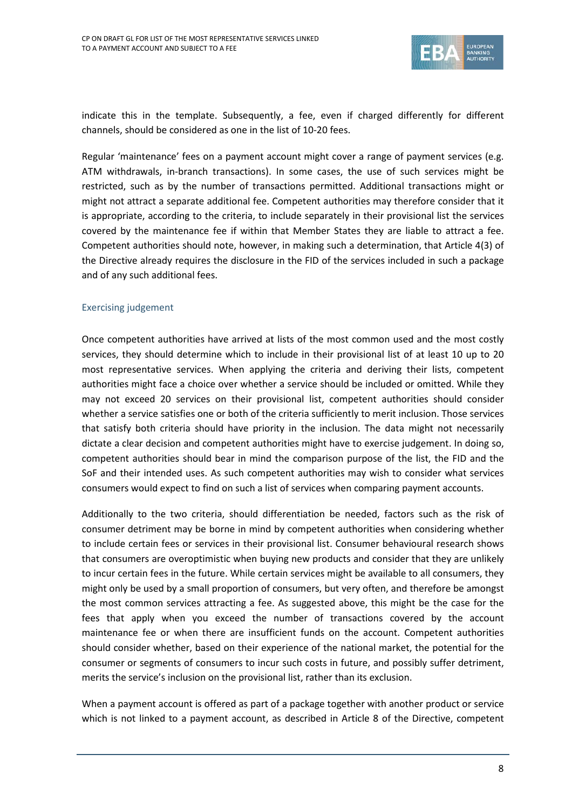

indicate this in the template. Subsequently, a fee, even if charged differently for different channels, should be considered as one in the list of 10-20 fees.

Regular 'maintenance' fees on a payment account might cover a range of payment services (e.g. ATM withdrawals, in-branch transactions). In some cases, the use of such services might be restricted, such as by the number of transactions permitted. Additional transactions might or might not attract a separate additional fee. Competent authorities may therefore consider that it is appropriate, according to the criteria, to include separately in their provisional list the services covered by the maintenance fee if within that Member States they are liable to attract a fee. Competent authorities should note, however, in making such a determination, that Article 4(3) of the Directive already requires the disclosure in the FID of the services included in such a package and of any such additional fees.

#### Exercising judgement

Once competent authorities have arrived at lists of the most common used and the most costly services, they should determine which to include in their provisional list of at least 10 up to 20 most representative services. When applying the criteria and deriving their lists, competent authorities might face a choice over whether a service should be included or omitted. While they may not exceed 20 services on their provisional list, competent authorities should consider whether a service satisfies one or both of the criteria sufficiently to merit inclusion. Those services that satisfy both criteria should have priority in the inclusion. The data might not necessarily dictate a clear decision and competent authorities might have to exercise judgement. In doing so, competent authorities should bear in mind the comparison purpose of the list, the FID and the SoF and their intended uses. As such competent authorities may wish to consider what services consumers would expect to find on such a list of services when comparing payment accounts.

Additionally to the two criteria, should differentiation be needed, factors such as the risk of consumer detriment may be borne in mind by competent authorities when considering whether to include certain fees or services in their provisional list. Consumer behavioural research shows that consumers are overoptimistic when buying new products and consider that they are unlikely to incur certain fees in the future. While certain services might be available to all consumers, they might only be used by a small proportion of consumers, but very often, and therefore be amongst the most common services attracting a fee. As suggested above, this might be the case for the fees that apply when you exceed the number of transactions covered by the account maintenance fee or when there are insufficient funds on the account. Competent authorities should consider whether, based on their experience of the national market, the potential for the consumer or segments of consumers to incur such costs in future, and possibly suffer detriment, merits the service's inclusion on the provisional list, rather than its exclusion.

When a payment account is offered as part of a package together with another product or service which is not linked to a payment account, as described in Article 8 of the Directive, competent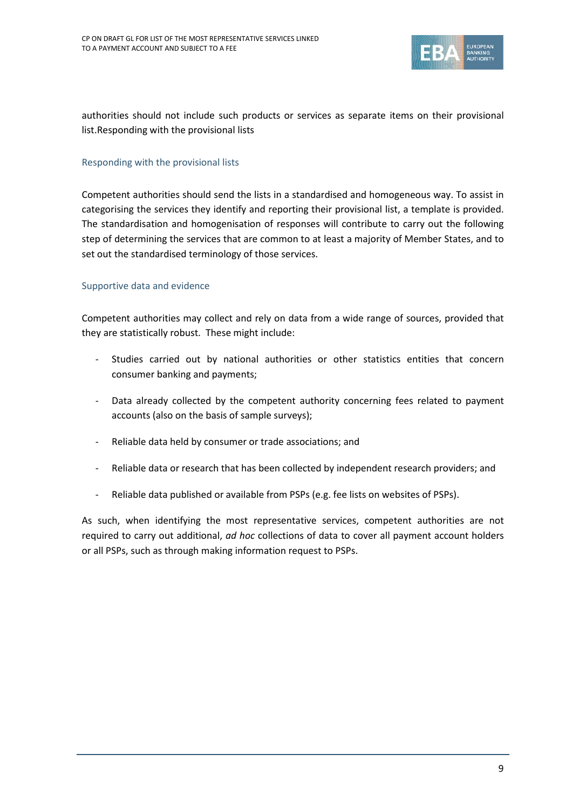

authorities should not include such products or services as separate items on their provisional list.Responding with the provisional lists

#### Responding with the provisional lists

Competent authorities should send the lists in a standardised and homogeneous way. To assist in categorising the services they identify and reporting their provisional list, a template is provided. The standardisation and homogenisation of responses will contribute to carry out the following step of determining the services that are common to at least a majority of Member States, and to set out the standardised terminology of those services.

#### Supportive data and evidence

Competent authorities may collect and rely on data from a wide range of sources, provided that they are statistically robust. These might include:

- Studies carried out by national authorities or other statistics entities that concern consumer banking and payments;
- Data already collected by the competent authority concerning fees related to payment accounts (also on the basis of sample surveys);
- Reliable data held by consumer or trade associations; and
- Reliable data or research that has been collected by independent research providers; and
- Reliable data published or available from PSPs (e.g. fee lists on websites of PSPs).

As such, when identifying the most representative services, competent authorities are not required to carry out additional, *ad hoc* collections of data to cover all payment account holders or all PSPs, such as through making information request to PSPs.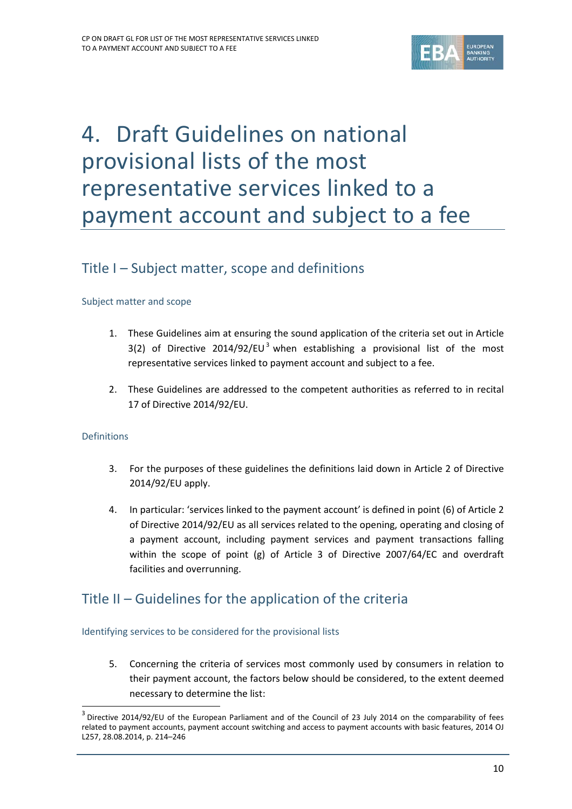

# 4. Draft Guidelines on national provisional lists of the most representative services linked to a payment account and subject to a fee

### Title I – Subject matter, scope and definitions

#### Subject matter and scope

- 1. These Guidelines aim at ensuring the sound application of the criteria set out in Article [3](#page-9-0)(2) of Directive 2014/92/EU<sup>3</sup> when establishing a provisional list of the most representative services linked to payment account and subject to a fee.
- 2. These Guidelines are addressed to the competent authorities as referred to in recital 17 of Directive 2014/92/EU.

#### Definitions

 $\overline{a}$ 

- 3. For the purposes of these guidelines the definitions laid down in Article 2 of Directive 2014/92/EU apply.
- 4. In particular: 'services linked to the payment account' is defined in point (6) of Article 2 of Directive 2014/92/EU as all services related to the opening, operating and closing of a payment account, including payment services and payment transactions falling within the scope of point (g) of Article 3 of Directive 2007/64/EC and overdraft facilities and overrunning.

### Title II – Guidelines for the application of the criteria

#### Identifying services to be considered for the provisional lists

5. Concerning the criteria of services most commonly used by consumers in relation to their payment account, the factors below should be considered, to the extent deemed necessary to determine the list:

<span id="page-9-0"></span><sup>&</sup>lt;sup>3</sup> Directive 2014/92/EU of the European Parliament and of the Council of 23 July 2014 on the comparability of fees related to payment accounts, payment account switching and access to payment accounts with basic features, 2014 OJ L257, 28.08.2014, p. 214–246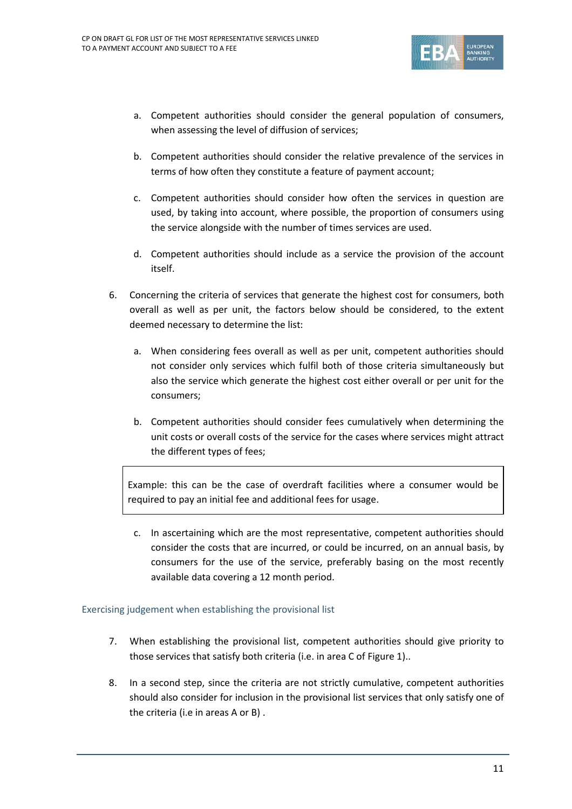

- a. Competent authorities should consider the general population of consumers, when assessing the level of diffusion of services;
- b. Competent authorities should consider the relative prevalence of the services in terms of how often they constitute a feature of payment account;
- c. Competent authorities should consider how often the services in question are used, by taking into account, where possible, the proportion of consumers using the service alongside with the number of times services are used.
- d. Competent authorities should include as a service the provision of the account itself.
- 6. Concerning the criteria of services that generate the highest cost for consumers, both overall as well as per unit, the factors below should be considered, to the extent deemed necessary to determine the list:
	- a. When considering fees overall as well as per unit, competent authorities should not consider only services which fulfil both of those criteria simultaneously but also the service which generate the highest cost either overall or per unit for the consumers;
	- b. Competent authorities should consider fees cumulatively when determining the unit costs or overall costs of the service for the cases where services might attract the different types of fees;

Example: this can be the case of overdraft facilities where a consumer would be required to pay an initial fee and additional fees for usage.

c. In ascertaining which are the most representative, competent authorities should consider the costs that are incurred, or could be incurred, on an annual basis, by consumers for the use of the service, preferably basing on the most recently available data covering a 12 month period.

#### Exercising judgement when establishing the provisional list

- 7. When establishing the provisional list, competent authorities should give priority to those services that satisfy both criteria (i.e. in area C of Figure 1)..
- 8. In a second step, since the criteria are not strictly cumulative, competent authorities should also consider for inclusion in the provisional list services that only satisfy one of the criteria (i.e in areas A or B) .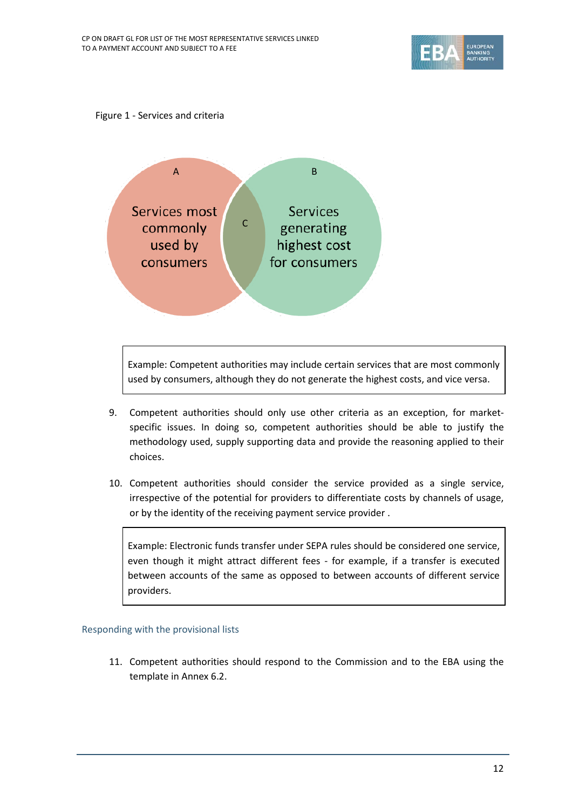





Example: Competent authorities may include certain services that are most commonly used by consumers, although they do not generate the highest costs, and vice versa.

- 9. Competent authorities should only use other criteria as an exception, for marketspecific issues. In doing so, competent authorities should be able to justify the methodology used, supply supporting data and provide the reasoning applied to their choices.
- 10. Competent authorities should consider the service provided as a single service, irrespective of the potential for providers to differentiate costs by channels of usage, or by the identity of the receiving payment service provider .

Example: Electronic funds transfer under SEPA rules should be considered one service, even though it might attract different fees - for example, if a transfer is executed between accounts of the same as opposed to between accounts of different service providers.

#### Responding with the provisional lists

11. Competent authorities should respond to the Commission and to the EBA using the template in Annex 6.2.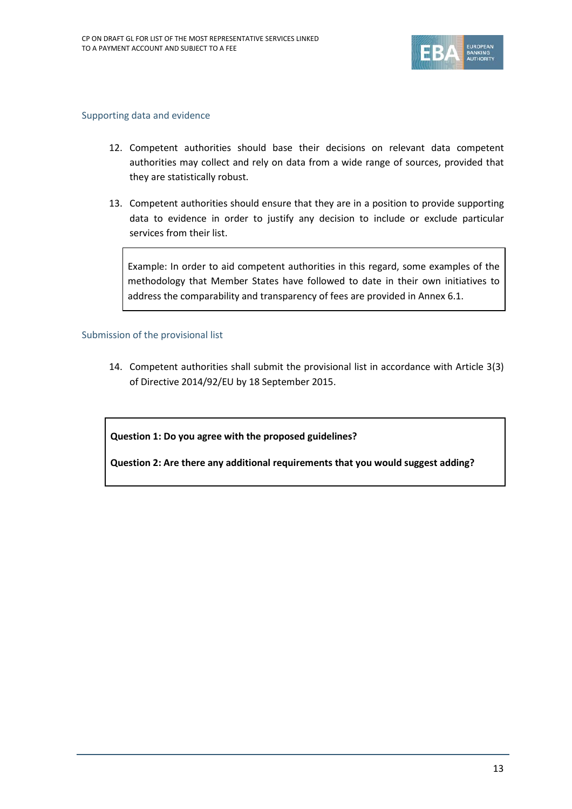

#### Supporting data and evidence

- 12. Competent authorities should base their decisions on relevant data competent authorities may collect and rely on data from a wide range of sources, provided that they are statistically robust.
- 13. Competent authorities should ensure that they are in a position to provide supporting data to evidence in order to justify any decision to include or exclude particular services from their list.

Example: In order to aid competent authorities in this regard, some examples of the methodology that Member States have followed to date in their own initiatives to address the comparability and transparency of fees are provided in Annex 6.1.

#### Submission of the provisional list

14. Competent authorities shall submit the provisional list in accordance with Article 3(3) of Directive 2014/92/EU by 18 September 2015.

**Question 1: Do you agree with the proposed guidelines?**

**Question 2: Are there any additional requirements that you would suggest adding?**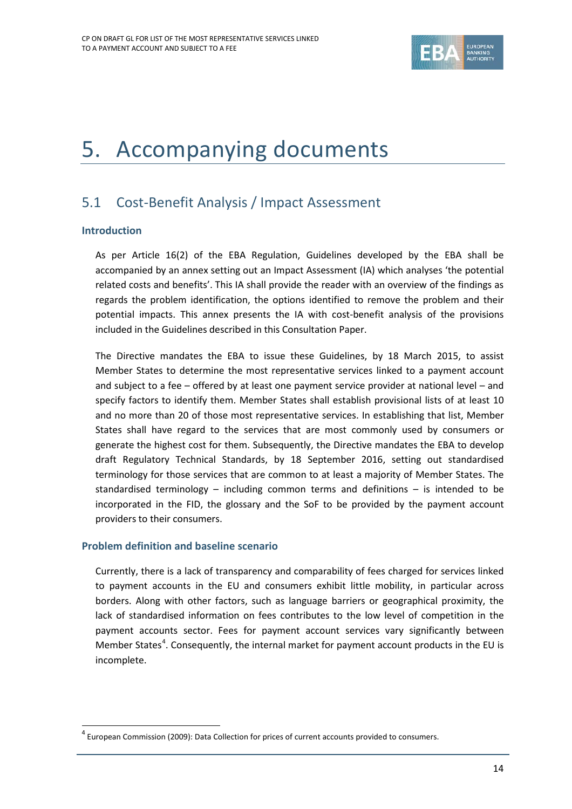

# 5. Accompanying documents

### 5.1 Cost-Benefit Analysis / Impact Assessment

#### **Introduction**

 $\overline{a}$ 

As per Article 16(2) of the EBA Regulation, Guidelines developed by the EBA shall be accompanied by an annex setting out an Impact Assessment (IA) which analyses 'the potential related costs and benefits'. This IA shall provide the reader with an overview of the findings as regards the problem identification, the options identified to remove the problem and their potential impacts. This annex presents the IA with cost-benefit analysis of the provisions included in the Guidelines described in this Consultation Paper.

The Directive mandates the EBA to issue these Guidelines, by 18 March 2015, to assist Member States to determine the most representative services linked to a payment account and subject to a fee – offered by at least one payment service provider at national level – and specify factors to identify them. Member States shall establish provisional lists of at least 10 and no more than 20 of those most representative services. In establishing that list, Member States shall have regard to the services that are most commonly used by consumers or generate the highest cost for them. Subsequently, the Directive mandates the EBA to develop draft Regulatory Technical Standards, by 18 September 2016, setting out standardised terminology for those services that are common to at least a majority of Member States. The standardised terminology – including common terms and definitions – is intended to be incorporated in the FID, the glossary and the SoF to be provided by the payment account providers to their consumers.

#### **Problem definition and baseline scenario**

Currently, there is a lack of transparency and comparability of fees charged for services linked to payment accounts in the EU and consumers exhibit little mobility, in particular across borders. Along with other factors, such as language barriers or geographical proximity, the lack of standardised information on fees contributes to the low level of competition in the payment accounts sector. Fees for payment account services vary significantly between Member States<sup>[4](#page-13-0)</sup>. Consequently, the internal market for payment account products in the EU is incomplete.

<span id="page-13-0"></span> $4$  European Commission (2009): Data Collection for prices of current accounts provided to consumers.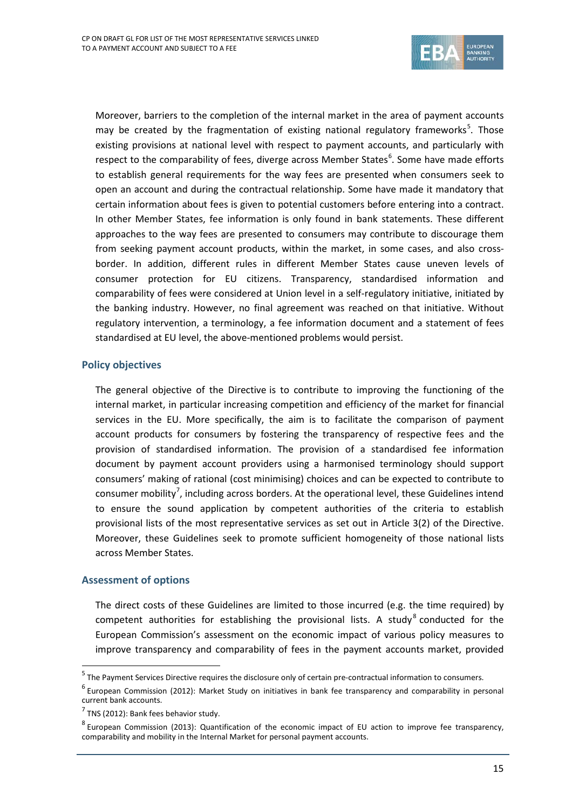

Moreover, barriers to the completion of the internal market in the area of payment accounts may be created by the fragmentation of existing national regulatory frameworks<sup>[5](#page-14-0)</sup>. Those existing provisions at national level with respect to payment accounts, and particularly with respect to the comparability of fees, diverge across Member States<sup>[6](#page-14-1)</sup>. Some have made efforts to establish general requirements for the way fees are presented when consumers seek to open an account and during the contractual relationship. Some have made it mandatory that certain information about fees is given to potential customers before entering into a contract. In other Member States, fee information is only found in bank statements. These different approaches to the way fees are presented to consumers may contribute to discourage them from seeking payment account products, within the market, in some cases, and also crossborder. In addition, different rules in different Member States cause uneven levels of consumer protection for EU citizens. Transparency, standardised information and comparability of fees were considered at Union level in a self-regulatory initiative, initiated by the banking industry. However, no final agreement was reached on that initiative. Without regulatory intervention, a terminology, a fee information document and a statement of fees standardised at EU level, the above-mentioned problems would persist.

#### **Policy objectives**

The general objective of the Directive is to contribute to improving the functioning of the internal market, in particular increasing competition and efficiency of the market for financial services in the EU. More specifically, the aim is to facilitate the comparison of payment account products for consumers by fostering the transparency of respective fees and the provision of standardised information. The provision of a standardised fee information document by payment account providers using a harmonised terminology should support consumers' making of rational (cost minimising) choices and can be expected to contribute to consumer mobility<sup>[7](#page-14-2)</sup>, including across borders. At the operational level, these Guidelines intend to ensure the sound application by competent authorities of the criteria to establish provisional lists of the most representative services as set out in Article 3(2) of the Directive. Moreover, these Guidelines seek to promote sufficient homogeneity of those national lists across Member States.

#### **Assessment of options**

 $\overline{a}$ 

The direct costs of these Guidelines are limited to those incurred (e.g. the time required) by competent authorities for establishing the provisional lists. A study  $8$  conducted for the European Commission's assessment on the economic impact of various policy measures to improve transparency and comparability of fees in the payment accounts market, provided

<span id="page-14-0"></span><sup>5</sup> The Payment Services Directive requires the disclosure only of certain pre-contractual information to consumers.

<span id="page-14-1"></span> $^6$  European Commission (2012): Market Study on initiatives in bank fee transparency and comparability in personal current bank accounts.

<span id="page-14-2"></span> $7$  TNS (2012): Bank fees behavior study.

<span id="page-14-3"></span><sup>8</sup> European Commission (2013): Quantification of the economic impact of EU action to improve fee transparency, comparability and mobility in the Internal Market for personal payment accounts.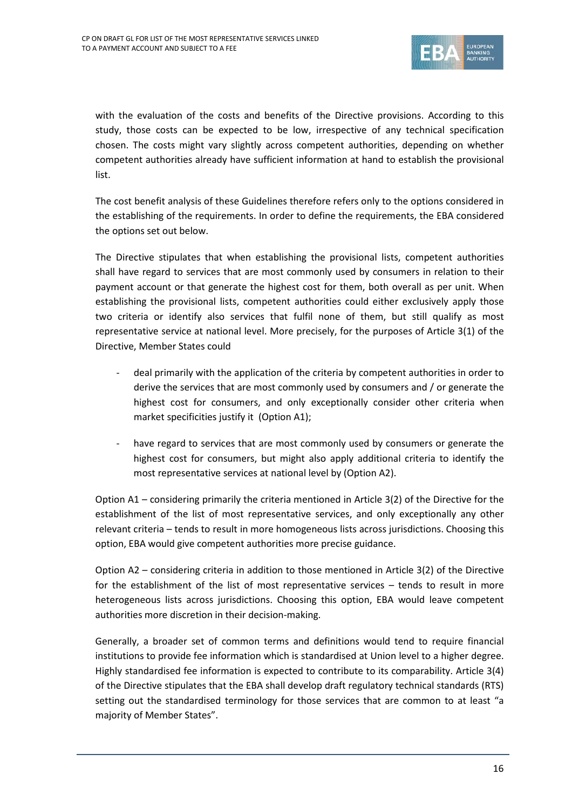

with the evaluation of the costs and benefits of the Directive provisions. According to this study, those costs can be expected to be low, irrespective of any technical specification chosen. The costs might vary slightly across competent authorities, depending on whether competent authorities already have sufficient information at hand to establish the provisional list.

The cost benefit analysis of these Guidelines therefore refers only to the options considered in the establishing of the requirements. In order to define the requirements, the EBA considered the options set out below.

The Directive stipulates that when establishing the provisional lists, competent authorities shall have regard to services that are most commonly used by consumers in relation to their payment account or that generate the highest cost for them, both overall as per unit. When establishing the provisional lists, competent authorities could either exclusively apply those two criteria or identify also services that fulfil none of them, but still qualify as most representative service at national level. More precisely, for the purposes of Article 3(1) of the Directive, Member States could

- deal primarily with the application of the criteria by competent authorities in order to derive the services that are most commonly used by consumers and / or generate the highest cost for consumers, and only exceptionally consider other criteria when market specificities justify it (Option A1);
- have regard to services that are most commonly used by consumers or generate the highest cost for consumers, but might also apply additional criteria to identify the most representative services at national level by (Option A2).

Option A1 – considering primarily the criteria mentioned in Article 3(2) of the Directive for the establishment of the list of most representative services, and only exceptionally any other relevant criteria – tends to result in more homogeneous lists across jurisdictions. Choosing this option, EBA would give competent authorities more precise guidance.

Option A2 – considering criteria in addition to those mentioned in Article 3(2) of the Directive for the establishment of the list of most representative services – tends to result in more heterogeneous lists across jurisdictions. Choosing this option, EBA would leave competent authorities more discretion in their decision-making.

Generally, a broader set of common terms and definitions would tend to require financial institutions to provide fee information which is standardised at Union level to a higher degree. Highly standardised fee information is expected to contribute to its comparability. Article 3(4) of the Directive stipulates that the EBA shall develop draft regulatory technical standards (RTS) setting out the standardised terminology for those services that are common to at least "a majority of Member States".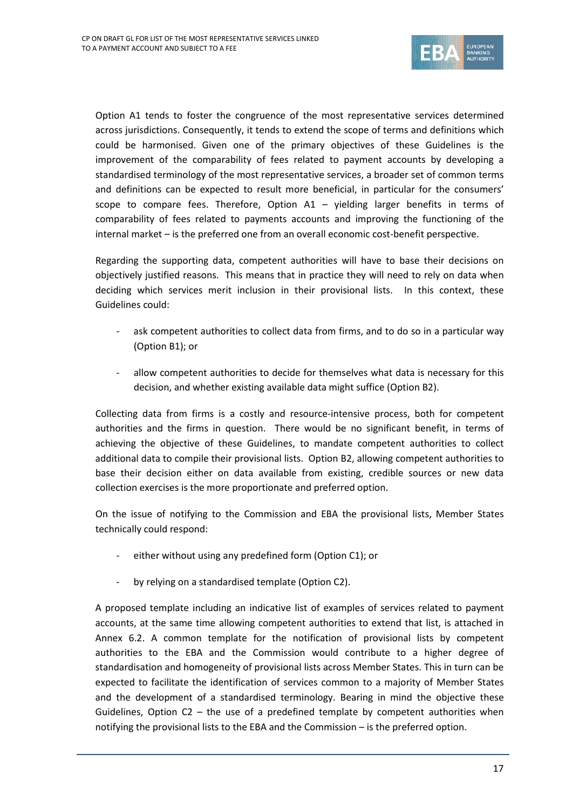

Option A1 tends to foster the congruence of the most representative services determined across jurisdictions. Consequently, it tends to extend the scope of terms and definitions which could be harmonised. Given one of the primary objectives of these Guidelines is the improvement of the comparability of fees related to payment accounts by developing a standardised terminology of the most representative services, a broader set of common terms and definitions can be expected to result more beneficial, in particular for the consumers' scope to compare fees. Therefore, Option A1 – yielding larger benefits in terms of comparability of fees related to payments accounts and improving the functioning of the internal market – is the preferred one from an overall economic cost-benefit perspective.

Regarding the supporting data, competent authorities will have to base their decisions on objectively justified reasons. This means that in practice they will need to rely on data when deciding which services merit inclusion in their provisional lists. In this context, these Guidelines could:

- ask competent authorities to collect data from firms, and to do so in a particular way (Option B1); or
- allow competent authorities to decide for themselves what data is necessary for this decision, and whether existing available data might suffice (Option B2).

Collecting data from firms is a costly and resource-intensive process, both for competent authorities and the firms in question. There would be no significant benefit, in terms of achieving the objective of these Guidelines, to mandate competent authorities to collect additional data to compile their provisional lists. Option B2, allowing competent authorities to base their decision either on data available from existing, credible sources or new data collection exercises is the more proportionate and preferred option.

On the issue of notifying to the Commission and EBA the provisional lists, Member States technically could respond:

- either without using any predefined form (Option C1); or
- by relying on a standardised template (Option C2).

A proposed template including an indicative list of examples of services related to payment accounts, at the same time allowing competent authorities to extend that list, is attached in Annex 6.2. A common template for the notification of provisional lists by competent authorities to the EBA and the Commission would contribute to a higher degree of standardisation and homogeneity of provisional lists across Member States. This in turn can be expected to facilitate the identification of services common to a majority of Member States and the development of a standardised terminology. Bearing in mind the objective these Guidelines, Option  $C2$  – the use of a predefined template by competent authorities when notifying the provisional lists to the EBA and the Commission – is the preferred option.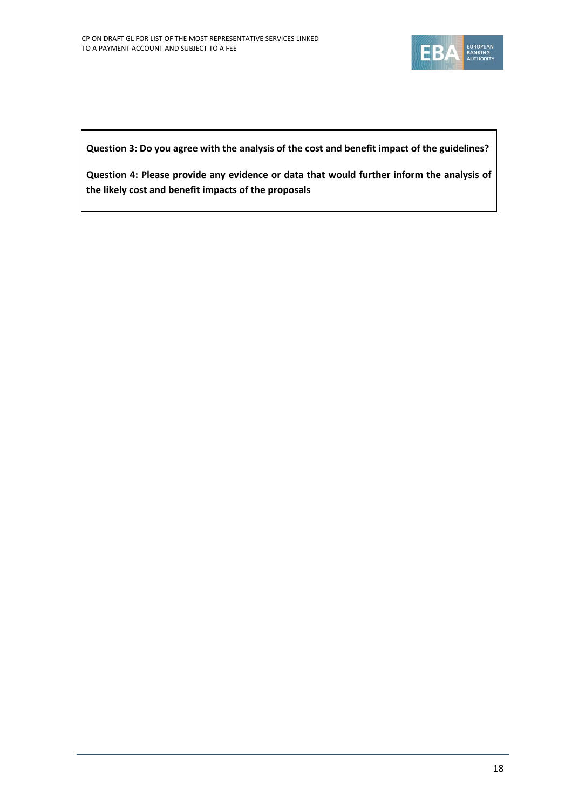

**Question 3: Do you agree with the analysis of the cost and benefit impact of the guidelines?**

**Question 4: Please provide any evidence or data that would further inform the analysis of the likely cost and benefit impacts of the proposals**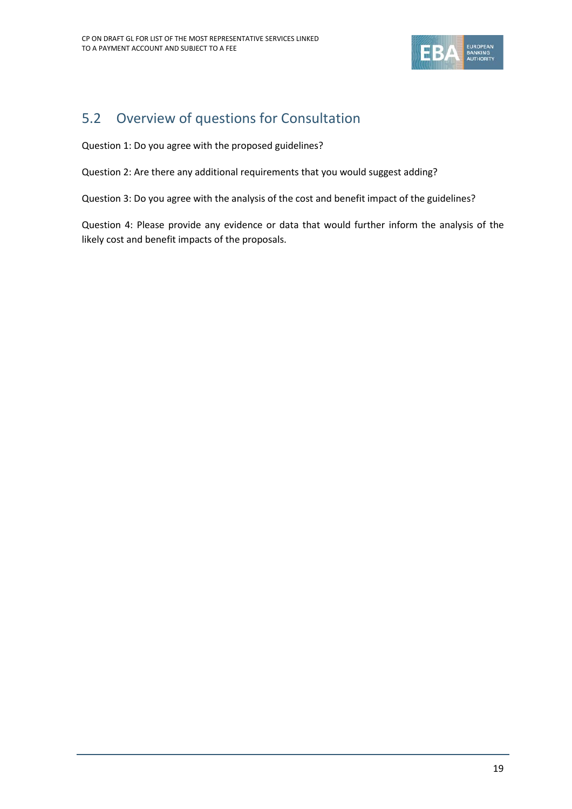

### 5.2 Overview of questions for Consultation

Question 1: Do you agree with the proposed guidelines?

Question 2: Are there any additional requirements that you would suggest adding?

Question 3: Do you agree with the analysis of the cost and benefit impact of the guidelines?

Question 4: Please provide any evidence or data that would further inform the analysis of the likely cost and benefit impacts of the proposals.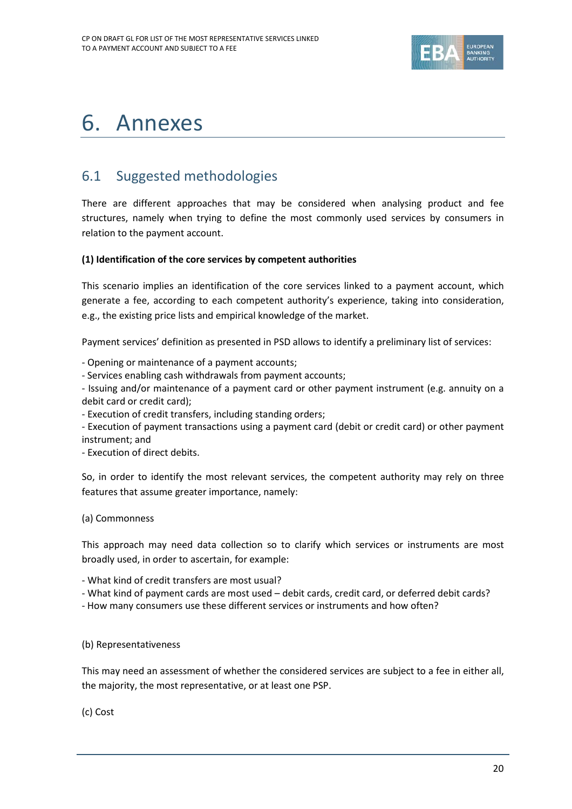

## 6. Annexes

### 6.1 Suggested methodologies

There are different approaches that may be considered when analysing product and fee structures, namely when trying to define the most commonly used services by consumers in relation to the payment account.

#### **(1) Identification of the core services by competent authorities**

This scenario implies an identification of the core services linked to a payment account, which generate a fee, according to each competent authority's experience, taking into consideration, e.g., the existing price lists and empirical knowledge of the market.

Payment services' definition as presented in PSD allows to identify a preliminary list of services:

- Opening or maintenance of a payment accounts;

- Services enabling cash withdrawals from payment accounts;

- Issuing and/or maintenance of a payment card or other payment instrument (e.g. annuity on a debit card or credit card);

- Execution of credit transfers, including standing orders;

- Execution of payment transactions using a payment card (debit or credit card) or other payment instrument; and

- Execution of direct debits.

So, in order to identify the most relevant services, the competent authority may rely on three features that assume greater importance, namely:

#### (a) Commonness

This approach may need data collection so to clarify which services or instruments are most broadly used, in order to ascertain, for example:

- What kind of credit transfers are most usual?

- What kind of payment cards are most used debit cards, credit card, or deferred debit cards?
- How many consumers use these different services or instruments and how often?

#### (b) Representativeness

This may need an assessment of whether the considered services are subject to a fee in either all, the majority, the most representative, or at least one PSP.

(c) Cost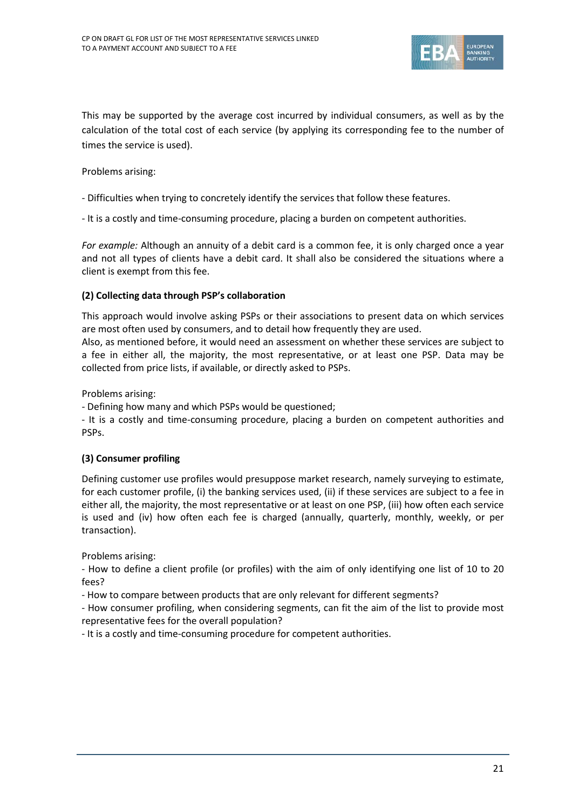

This may be supported by the average cost incurred by individual consumers, as well as by the calculation of the total cost of each service (by applying its corresponding fee to the number of times the service is used).

Problems arising:

- Difficulties when trying to concretely identify the services that follow these features.
- It is a costly and time-consuming procedure, placing a burden on competent authorities.

*For example:* Although an annuity of a debit card is a common fee, it is only charged once a year and not all types of clients have a debit card. It shall also be considered the situations where a client is exempt from this fee.

#### **(2) Collecting data through PSP's collaboration**

This approach would involve asking PSPs or their associations to present data on which services are most often used by consumers, and to detail how frequently they are used.

Also, as mentioned before, it would need an assessment on whether these services are subject to a fee in either all, the majority, the most representative, or at least one PSP. Data may be collected from price lists, if available, or directly asked to PSPs.

Problems arising:

- Defining how many and which PSPs would be questioned;

- It is a costly and time-consuming procedure, placing a burden on competent authorities and PSPs.

#### **(3) Consumer profiling**

Defining customer use profiles would presuppose market research, namely surveying to estimate, for each customer profile, (i) the banking services used, (ii) if these services are subject to a fee in either all, the majority, the most representative or at least on one PSP, (iii) how often each service is used and (iv) how often each fee is charged (annually, quarterly, monthly, weekly, or per transaction).

Problems arising:

- How to define a client profile (or profiles) with the aim of only identifying one list of 10 to 20 fees?

- How to compare between products that are only relevant for different segments?

- How consumer profiling, when considering segments, can fit the aim of the list to provide most representative fees for the overall population?

- It is a costly and time-consuming procedure for competent authorities.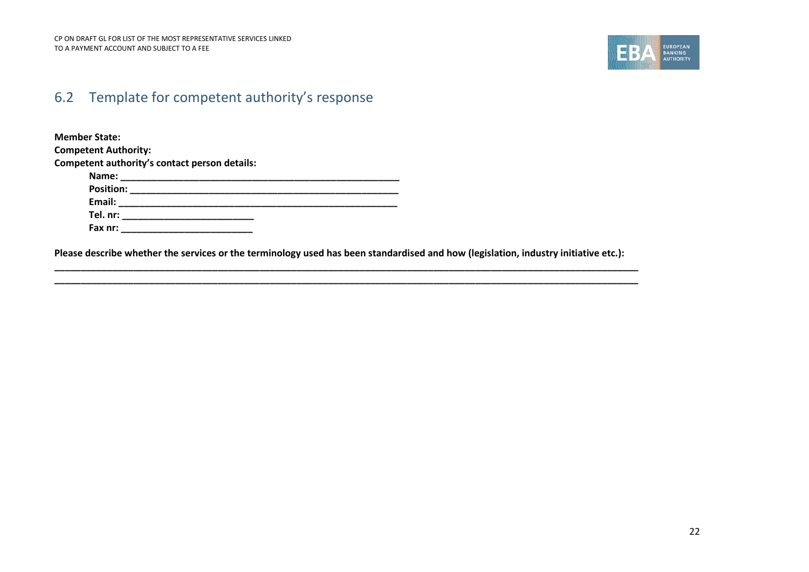

### 6.2 Template for competent authority's response

**Member State: Competent Authority: Competent authority's contact person details: Name: \_\_\_\_\_\_\_\_\_\_\_\_\_\_\_\_\_\_\_\_\_\_\_\_\_\_\_\_\_\_\_\_\_\_\_\_\_\_\_\_\_\_\_\_\_\_\_\_\_\_\_\_\_ Position: \_\_\_\_\_\_\_\_\_\_\_\_\_\_\_\_\_\_\_\_\_\_\_\_\_\_\_\_\_\_\_\_\_\_\_\_\_\_\_\_\_\_\_\_\_\_\_\_\_\_\_ Email: \_\_\_\_\_\_\_\_\_\_\_\_\_\_\_\_\_\_\_\_\_\_\_\_\_\_\_\_\_\_\_\_\_\_\_\_\_\_\_\_\_\_\_\_\_\_\_\_\_\_\_\_\_ Tel. nr: \_\_\_\_\_\_\_\_\_\_\_\_\_\_\_\_\_\_\_\_\_\_\_\_\_ Fax nr: \_\_\_\_\_\_\_\_\_\_\_\_\_\_\_\_\_\_\_\_\_\_\_\_\_**

**Please describe whether the services or the terminology used has been standardised and how (legislation, industry initiative etc.):**

**\_\_\_\_\_\_\_\_\_\_\_\_\_\_\_\_\_\_\_\_\_\_\_\_\_\_\_\_\_\_\_\_\_\_\_\_\_\_\_\_\_\_\_\_\_\_\_\_\_\_\_\_\_\_\_\_\_\_\_\_\_\_\_\_\_\_\_\_\_\_\_\_\_\_\_\_\_\_\_\_\_\_\_\_\_\_\_\_\_\_\_\_\_\_\_\_\_\_\_\_\_\_\_\_\_\_\_\_\_\_\_ \_\_\_\_\_\_\_\_\_\_\_\_\_\_\_\_\_\_\_\_\_\_\_\_\_\_\_\_\_\_\_\_\_\_\_\_\_\_\_\_\_\_\_\_\_\_\_\_\_\_\_\_\_\_\_\_\_\_\_\_\_\_\_\_\_\_\_\_\_\_\_\_\_\_\_\_\_\_\_\_\_\_\_\_\_\_\_\_\_\_\_\_\_\_\_\_\_\_\_\_\_\_\_\_\_\_\_\_\_\_\_**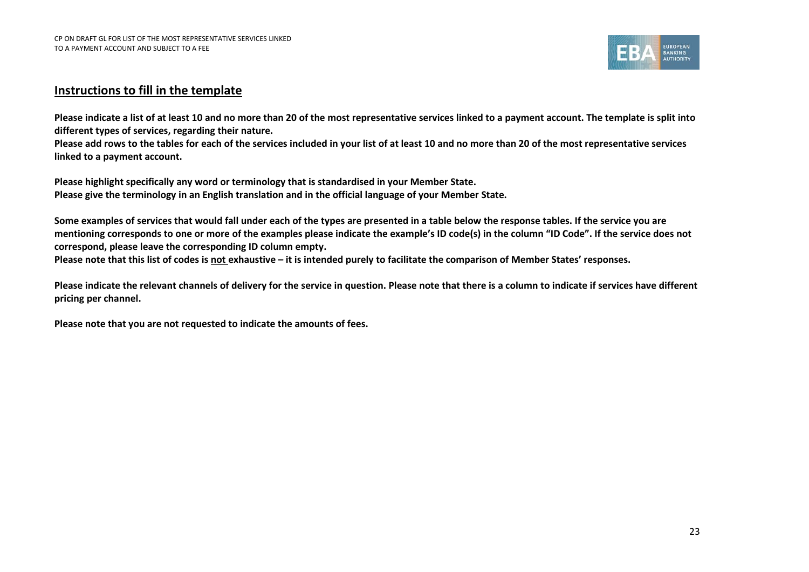

#### **Instructions to fill in the template**

**Please indicate a list of at least 10 and no more than 20 of the most representative services linked to a payment account. The template is split into different types of services, regarding their nature.** 

**Please add rows to the tables for each of the services included in your list of at least 10 and no more than 20 of the most representative services linked to a payment account.**

**Please highlight specifically any word or terminology that is standardised in your Member State. Please give the terminology in an English translation and in the official language of your Member State.**

**Some examples of services that would fall under each of the types are presented in a table below the response tables. If the service you are mentioning corresponds to one or more of the examples please indicate the example's ID code(s) in the column "ID Code". If the service does not correspond, please leave the corresponding ID column empty.**

**Please note that this list of codes is not exhaustive – it is intended purely to facilitate the comparison of Member States' responses.** 

**Please indicate the relevant channels of delivery for the service in question. Please note that there is a column to indicate if services have different pricing per channel.** 

**Please note that you are not requested to indicate the amounts of fees.**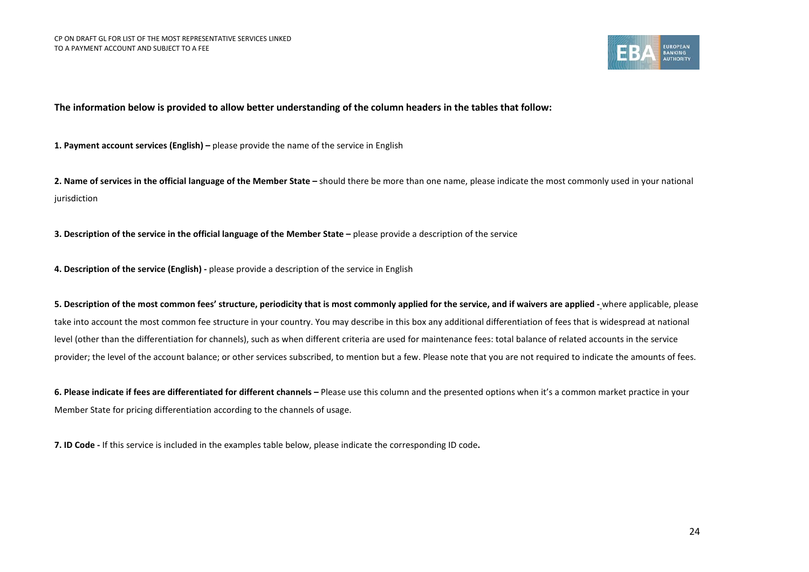

**The information below is provided to allow better understanding of the column headers in the tables that follow:**

**1. Payment account services (English) –** please provide the name of the service in English

**2. Name of services in the official language of the Member State –** should there be more than one name, please indicate the most commonly used in your national jurisdiction

**3. Description of the service in the official language of the Member State –** please provide a description of the service

**4. Description of the service (English) -** please provide a description of the service in English

**5. Description of the most common fees' structure, periodicity that is most commonly applied for the service, and if waivers are applied -** where applicable, please take into account the most common fee structure in your country. You may describe in this box any additional differentiation of fees that is widespread at national level (other than the differentiation for channels), such as when different criteria are used for maintenance fees: total balance of related accounts in the service provider; the level of the account balance; or other services subscribed, to mention but a few. Please note that you are not required to indicate the amounts of fees.

**6. Please indicate if fees are differentiated for different channels –** Please use this column and the presented options when it's a common market practice in your Member State for pricing differentiation according to the channels of usage.

**7. ID Code -** If this service is included in the examples table below, please indicate the corresponding ID code**.**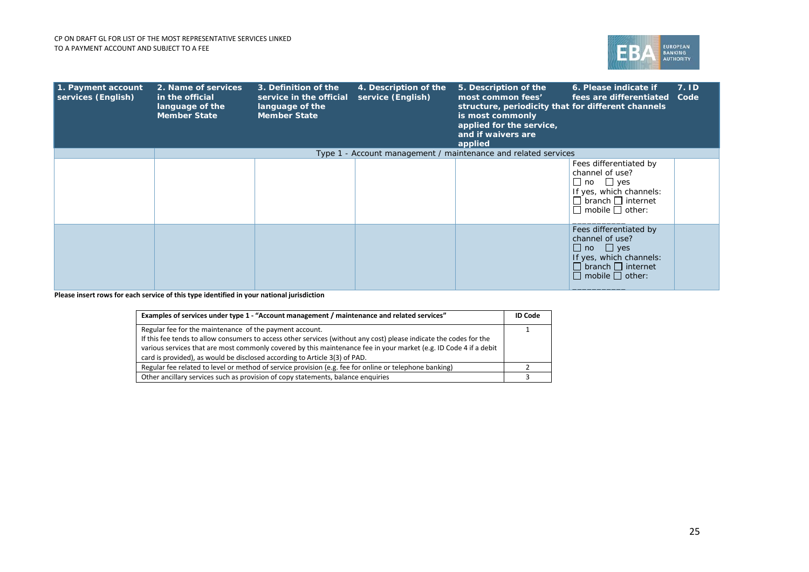

| 1. Payment account<br>services (English) | 2. Name of services<br>in the official<br>language of the<br><b>Member State</b> | 3. Definition of the<br>service in the official<br>language of the<br><b>Member State</b> | 4. Description of the<br>service (English) | 5. Description of the<br>most common fees'<br>structure, periodicity that for different channels<br>is most commonly<br>applied for the service,<br>and if waivers are<br>applied | 6. Please indicate if<br>fees are differentiated                                                                                                             | 7.1D<br>Code |
|------------------------------------------|----------------------------------------------------------------------------------|-------------------------------------------------------------------------------------------|--------------------------------------------|-----------------------------------------------------------------------------------------------------------------------------------------------------------------------------------|--------------------------------------------------------------------------------------------------------------------------------------------------------------|--------------|
|                                          |                                                                                  |                                                                                           |                                            | Type 1 - Account management / maintenance and related services                                                                                                                    |                                                                                                                                                              |              |
|                                          |                                                                                  |                                                                                           |                                            |                                                                                                                                                                                   | Fees differentiated by<br>channel of use?<br>$\Box$ no $\Box$ yes<br>If yes, which channels:<br>$\Box$ branch $\Box$ internet<br>$\Box$ mobile $\Box$ other: |              |
|                                          |                                                                                  |                                                                                           |                                            |                                                                                                                                                                                   | Fees differentiated by<br>channel of use?<br>$\Box$ no $\Box$ yes<br>If yes, which channels:<br>$\Box$ branch $\Box$ internet<br>$\Box$ mobile $\Box$ other: |              |

| Examples of services under type 1 - "Account management / maintenance and related services"                                                                                                                                             | <b>ID Code</b> |
|-----------------------------------------------------------------------------------------------------------------------------------------------------------------------------------------------------------------------------------------|----------------|
| Regular fee for the maintenance of the payment account.                                                                                                                                                                                 |                |
| If this fee tends to allow consumers to access other services (without any cost) please indicate the codes for the<br>various services that are most commonly covered by this maintenance fee in your market (e.g. ID Code 4 if a debit |                |
| card is provided), as would be disclosed according to Article 3(3) of PAD.                                                                                                                                                              |                |
| Regular fee related to level or method of service provision (e.g. fee for online or telephone banking)                                                                                                                                  |                |
| Other ancillary services such as provision of copy statements, balance enquiries                                                                                                                                                        |                |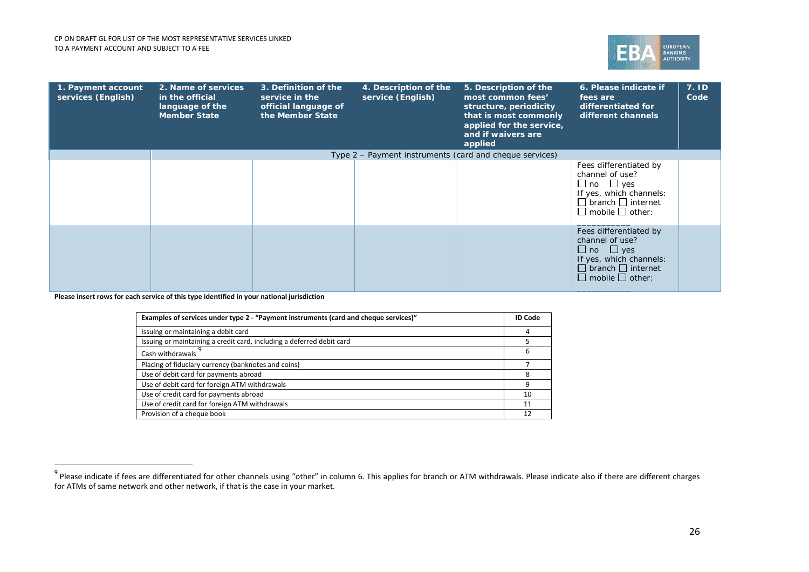<span id="page-25-0"></span>

| 1. Payment account<br>services (English) | 2. Name of services<br>in the official<br>language of the<br><b>Member State</b> | 3. Definition of the<br>service in the<br>official language of<br>the Member State | 4. Description of the<br>service (English) | 5. Description of the<br>most common fees'<br>structure, periodicity<br>that is most commonly<br>applied for the service,<br>and if waivers are<br>applied | 6. Please indicate if<br>fees are<br>differentiated for<br>different channels                                                                                | 7.1D<br>Code |
|------------------------------------------|----------------------------------------------------------------------------------|------------------------------------------------------------------------------------|--------------------------------------------|------------------------------------------------------------------------------------------------------------------------------------------------------------|--------------------------------------------------------------------------------------------------------------------------------------------------------------|--------------|
|                                          |                                                                                  |                                                                                    |                                            | Type 2 – Payment instruments (card and cheque services)                                                                                                    |                                                                                                                                                              |              |
|                                          |                                                                                  |                                                                                    |                                            |                                                                                                                                                            | Fees differentiated by<br>channel of use?<br>$\Box$ no $\Box$ yes<br>If yes, which channels:<br>$\Box$ branch $\Box$ internet<br>$\Box$ mobile $\Box$ other: |              |
|                                          |                                                                                  |                                                                                    |                                            |                                                                                                                                                            | Fees differentiated by<br>channel of use?<br>$\Box$ no $\Box$ yes<br>If yes, which channels:<br>$\Box$ branch $\Box$ internet<br>$\Box$ mobile $\Box$ other: |              |

1

| Examples of services under type 2 - "Payment instruments (card and cheque services)" |    |  |  |
|--------------------------------------------------------------------------------------|----|--|--|
| Issuing or maintaining a debit card                                                  |    |  |  |
| Issuing or maintaining a credit card, including a deferred debit card                |    |  |  |
| Cash withdrawals                                                                     | 6  |  |  |
| Placing of fiduciary currency (banknotes and coins)                                  |    |  |  |
| Use of debit card for payments abroad                                                |    |  |  |
| Use of debit card for foreign ATM withdrawals                                        | q  |  |  |
| Use of credit card for payments abroad                                               | 10 |  |  |
| Use of credit card for foreign ATM withdrawals                                       | 11 |  |  |
| Provision of a cheque book                                                           | 12 |  |  |

 $^9$  Please indicate if fees are differentiated for other channels using "other" in column 6. This applies for branch or ATM withdrawals. Please indicate also if there are different charges for ATMs of same network and other network, if that is the case in your market.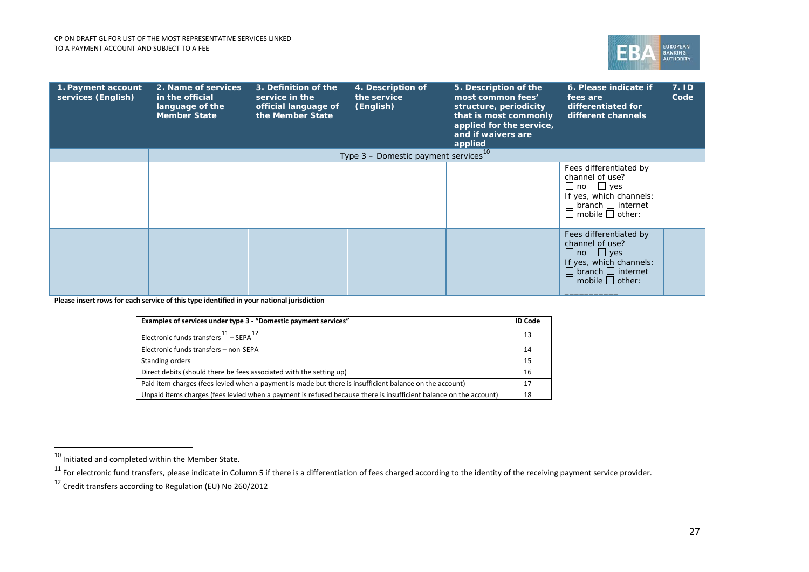<span id="page-26-2"></span><span id="page-26-1"></span><span id="page-26-0"></span>

| 1. Payment account<br>services (English) | 2. Name of services<br>in the official<br>language of the<br><b>Member State</b> | 3. Definition of the<br>service in the<br>official language of<br>the Member State | 4. Description of<br>the service<br>(English)      | 5. Description of the<br>most common fees'<br>structure, periodicity<br>that is most commonly<br>applied for the service,<br>and if waivers are<br>applied | 6. Please indicate if<br>fees are<br>differentiated for<br>different channels                                                                                | 7. ID<br>Code |
|------------------------------------------|----------------------------------------------------------------------------------|------------------------------------------------------------------------------------|----------------------------------------------------|------------------------------------------------------------------------------------------------------------------------------------------------------------|--------------------------------------------------------------------------------------------------------------------------------------------------------------|---------------|
|                                          |                                                                                  |                                                                                    | Type $3$ – Domestic payment services <sup>10</sup> |                                                                                                                                                            |                                                                                                                                                              |               |
|                                          |                                                                                  |                                                                                    |                                                    |                                                                                                                                                            | Fees differentiated by<br>channel of use?<br>$\Box$ no $\Box$ yes<br>If yes, which channels:<br>$\Box$ branch $\Box$ internet<br>$\Box$ mobile $\Box$ other: |               |
|                                          |                                                                                  |                                                                                    |                                                    |                                                                                                                                                            | Fees differentiated by<br>channel of use?<br>$\Box$ no $\Box$ yes<br>If yes, which channels:<br>$\Box$ branch $\Box$ internet<br>$\Box$ mobile $\Box$ other: |               |

| Examples of services under type 3 - "Domestic payment services"                                                   | <b>ID Code</b> |
|-------------------------------------------------------------------------------------------------------------------|----------------|
| Electronic funds transfers $11 -$ SEPA $12$                                                                       | 13             |
| Electronic funds transfers - non-SEPA                                                                             | 14             |
| Standing orders                                                                                                   | 15             |
| Direct debits (should there be fees associated with the setting up)                                               | 16             |
| Paid item charges (fees levied when a payment is made but there is insufficient balance on the account)           | 17             |
| Unpaid items charges (fees levied when a payment is refused because there is insufficient balance on the account) | 18             |

.

 $^{10}$  Initiated and completed within the Member State.

 $^{11}$  For electronic fund transfers, please indicate in Column 5 if there is a differentiation of fees charged according to the identity of the receiving payment service provider.

 $12$  Credit transfers according to Regulation (EU) No 260/2012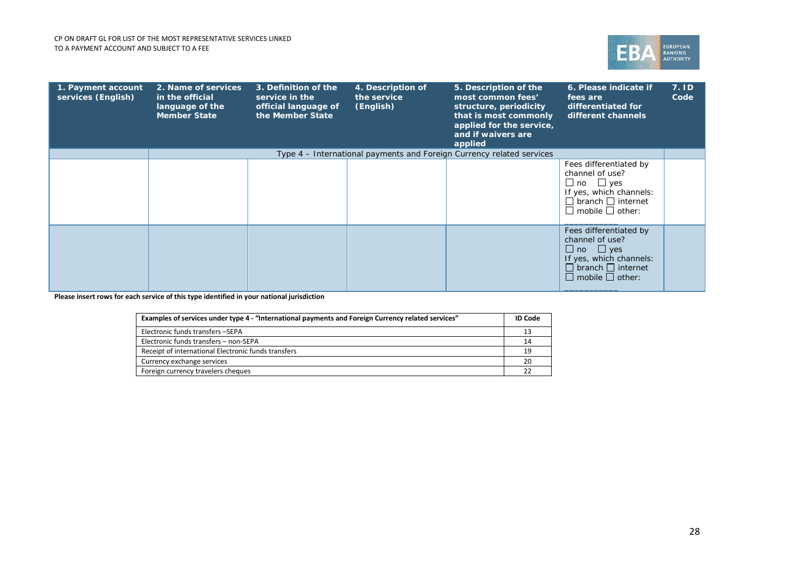

| 1. Payment account<br>services (English) | 2. Name of services<br>in the official<br>language of the<br><b>Member State</b> | 3. Definition of the<br>service in the<br>official language of<br>the Member State | 4. Description of<br>the service<br>(English) | 5. Description of the<br>most common fees'<br>structure, periodicity<br>that is most commonly<br>applied for the service,<br>and if waivers are<br>applied | 6. Please indicate if<br>fees are<br>differentiated for<br>different channels                                                                                | 7.1D<br>Code |
|------------------------------------------|----------------------------------------------------------------------------------|------------------------------------------------------------------------------------|-----------------------------------------------|------------------------------------------------------------------------------------------------------------------------------------------------------------|--------------------------------------------------------------------------------------------------------------------------------------------------------------|--------------|
|                                          |                                                                                  |                                                                                    |                                               | Type 4 – International payments and Foreign Currency related services                                                                                      |                                                                                                                                                              |              |
|                                          |                                                                                  |                                                                                    |                                               |                                                                                                                                                            | Fees differentiated by<br>channel of use?<br>$\Box$ no $\Box$ yes<br>If yes, which channels:<br>$\Box$ branch $\Box$ internet<br>$\Box$ mobile $\Box$ other: |              |
|                                          |                                                                                  |                                                                                    |                                               |                                                                                                                                                            | Fees differentiated by<br>channel of use?<br>$\Box$ no $\Box$ yes<br>If yes, which channels:<br>$\Box$ branch $\Box$ internet<br>$\Box$ mobile $\Box$ other: |              |

| Examples of services under type 4 - "International payments and Foreign Currency related services" |    |  |
|----------------------------------------------------------------------------------------------------|----|--|
| Electronic funds transfers -SEPA                                                                   | 13 |  |
| Electronic funds transfers - non-SEPA                                                              | 14 |  |
| Receipt of international Electronic funds transfers                                                | 19 |  |
| Currency exchange services                                                                         | 20 |  |
| Foreign currency travelers cheques                                                                 |    |  |